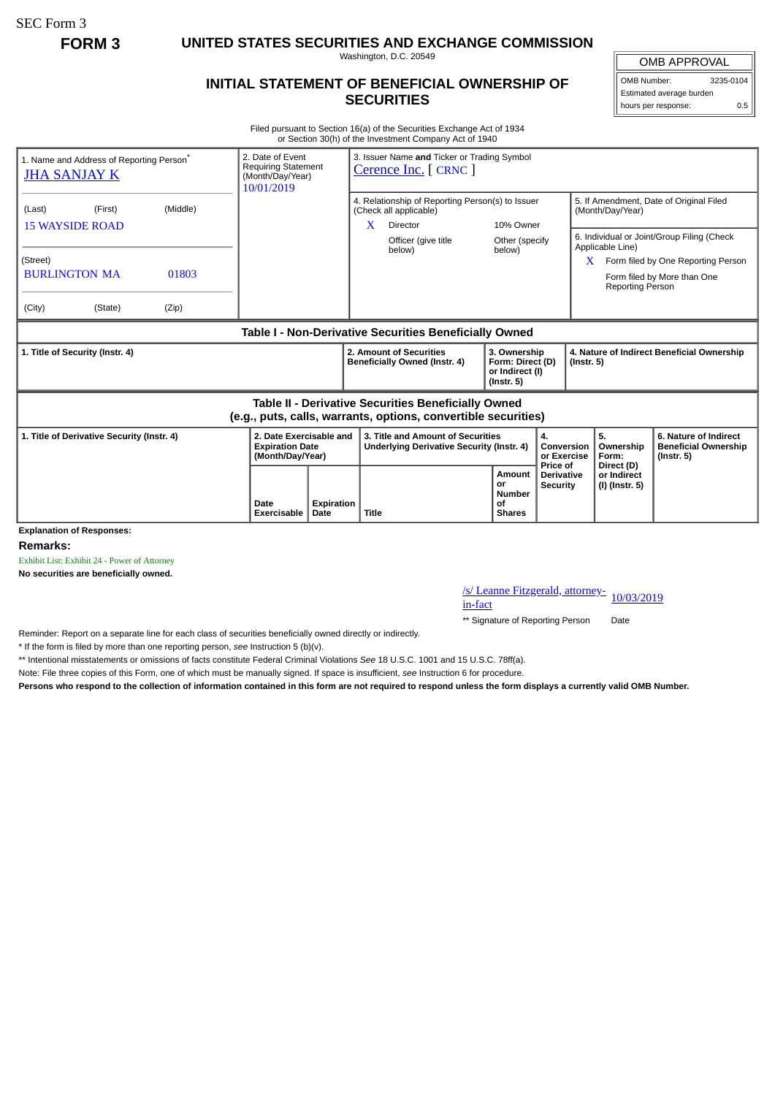SEC Form 3

**FORM 3 UNITED STATES SECURITIES AND EXCHANGE COMMISSION**

Washington, D.C. 20549

## **INITIAL STATEMENT OF BENEFICIAL OWNERSHIP OF SECURITIES**

OMB APPROVAL OMB Number: 3235-0104

Estimated average burden hours per response: 0.5

Filed pursuant to Section 16(a) of the Securities Exchange Act of 1934 or Section 30(h) of the Investment Company Act of 1940

| 1. Name and Address of Reporting Person <sup>®</sup><br><b>JHA SANJAY K</b>                                           | 2. Date of Event<br><b>Requiring Statement</b><br>(Month/Day/Year)<br>10/01/2019 |            | 3. Issuer Name and Ticker or Trading Symbol<br>Cerence Inc. [ CRNC ]                        |                                                                         |                                                  |                                                                |                                                                                                                 |  |  |
|-----------------------------------------------------------------------------------------------------------------------|----------------------------------------------------------------------------------|------------|---------------------------------------------------------------------------------------------|-------------------------------------------------------------------------|--------------------------------------------------|----------------------------------------------------------------|-----------------------------------------------------------------------------------------------------------------|--|--|
| (Middle)<br>(Last)<br>(First)<br><b>15 WAYSIDE ROAD</b>                                                               |                                                                                  |            | 4. Relationship of Reporting Person(s) to Issuer<br>(Check all applicable)<br>Director<br>X | 10% Owner                                                               |                                                  | 5. If Amendment, Date of Original Filed<br>(Month/Day/Year)    |                                                                                                                 |  |  |
| (Street)<br><b>BURLINGTON MA</b><br>01803<br>(City)<br>(State)<br>(Zip)                                               |                                                                                  |            | Officer (give title<br>below)                                                               | Other (specify<br>below)                                                |                                                  | Applicable Line)<br>X<br>Reporting Person                      | 6. Individual or Joint/Group Filing (Check<br>Form filed by One Reporting Person<br>Form filed by More than One |  |  |
| Table I - Non-Derivative Securities Beneficially Owned                                                                |                                                                                  |            |                                                                                             |                                                                         |                                                  |                                                                |                                                                                                                 |  |  |
| 1. Title of Security (Instr. 4)                                                                                       |                                                                                  |            | 2. Amount of Securities<br>Beneficially Owned (Instr. 4)                                    | 3. Ownership<br>Form: Direct (D)<br>or Indirect (I)<br>$($ lnstr. 5 $)$ |                                                  | 4. Nature of Indirect Beneficial Ownership<br>$($ Instr. 5 $)$ |                                                                                                                 |  |  |
| Table II - Derivative Securities Beneficially Owned<br>(e.g., puts, calls, warrants, options, convertible securities) |                                                                                  |            |                                                                                             |                                                                         |                                                  |                                                                |                                                                                                                 |  |  |
| 2. Date Exercisable and<br>1. Title of Derivative Security (Instr. 4)<br><b>Expiration Date</b><br>(Month/Day/Year)   |                                                                                  |            | 3. Title and Amount of Securities<br>Underlying Derivative Security (Instr. 4)              |                                                                         | 4.<br>Conversion<br>or Exercise                  | 5.<br>Ownership<br>Form:                                       | 6. Nature of Indirect<br><b>Beneficial Ownership</b><br>$($ lnstr. 5 $)$                                        |  |  |
| <b>Explanation of Responses:</b>                                                                                      | Date<br>Exercisable<br>Date                                                      | Expiration | <b>Title</b>                                                                                | Amount<br>or<br><b>Number</b><br>Οf<br><b>Shares</b>                    | Price of<br><b>Derivative</b><br><b>Security</b> | Direct (D)<br>or Indirect<br>(I) (Instr. 5)                    |                                                                                                                 |  |  |

**Remarks:**

Exhibit List: Exhibit 24 - Power of Attorney

**No securities are beneficially owned.**

/s/ Leanne Fitzgerald, attorney-<br>in-fact

\*\* Signature of Reporting Person Date

Reminder: Report on a separate line for each class of securities beneficially owned directly or indirectly.

\* If the form is filed by more than one reporting person, *see* Instruction 5 (b)(v).

\*\* Intentional misstatements or omissions of facts constitute Federal Criminal Violations *See* 18 U.S.C. 1001 and 15 U.S.C. 78ff(a).

Note: File three copies of this Form, one of which must be manually signed. If space is insufficient, *see* Instruction 6 for procedure.

**Persons who respond to the collection of information contained in this form are not required to respond unless the form displays a currently valid OMB Number.**